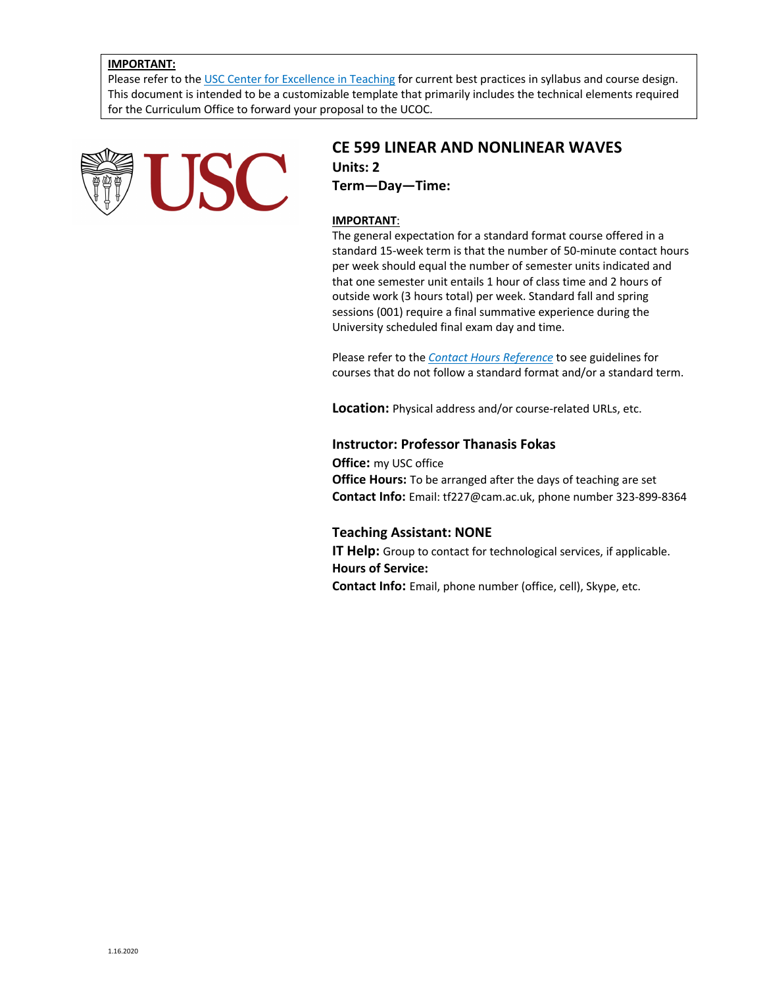### **IMPORTANT:**

Please refer to the USC Center for Excellence in Teaching for current best practices in syllabus and course design. This document is intended to be a customizable template that primarily includes the technical elements required for the Curriculum Office to forward your proposal to the UCOC.



# **CE 599 LINEAR AND NONLINEAR WAVES Units: 2 Term—Day—Time:**

### **IMPORTANT**:

The general expectation for a standard format course offered in a standard 15-week term is that the number of 50-minute contact hours per week should equal the number of semester units indicated and that one semester unit entails 1 hour of class time and 2 hours of outside work (3 hours total) per week. Standard fall and spring sessions (001) require a final summative experience during the University scheduled final exam day and time.

Please refer to the *Contact Hours Reference* to see guidelines for courses that do not follow a standard format and/or a standard term.

**Location:** Physical address and/or course-related URLs, etc.

### **Instructor: Professor Thanasis Fokas**

**Office:** my USC office **Office Hours:** To be arranged after the days of teaching are set **Contact Info:** Email: tf227@cam.ac.uk, phone number 323-899-8364

#### **Teaching Assistant: NONE**

**IT Help:** Group to contact for technological services, if applicable. **Hours of Service:**

**Contact Info:** Email, phone number (office, cell), Skype, etc.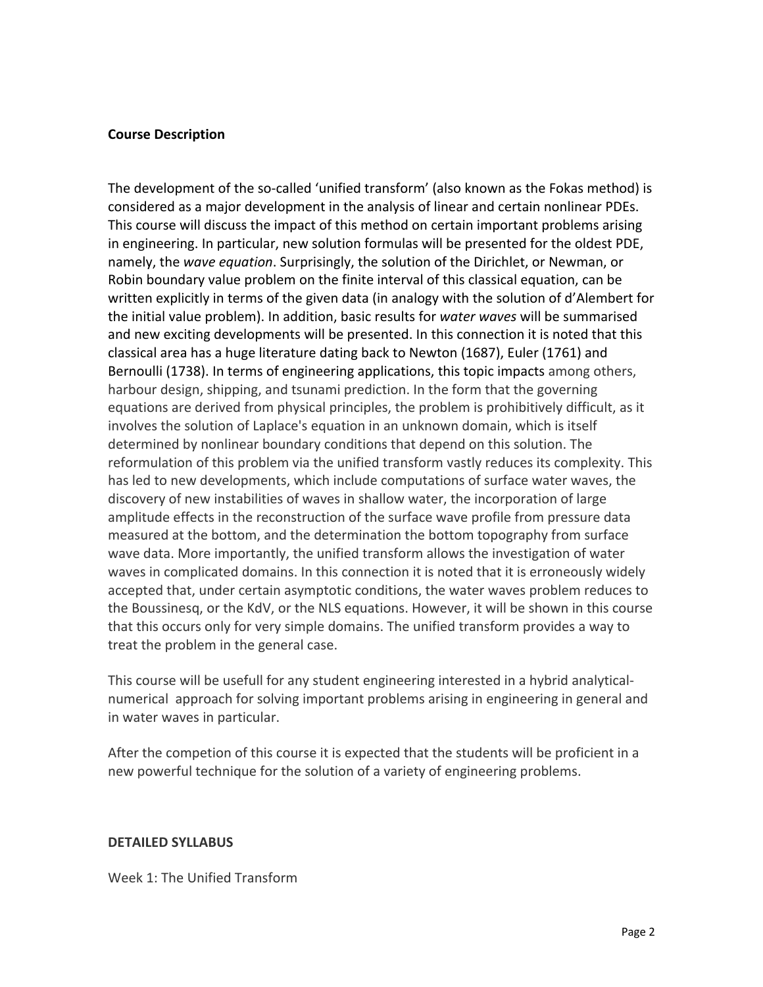## **Course Description**

The development of the so-called 'unified transform' (also known as the Fokas method) is considered as a major development in the analysis of linear and certain nonlinear PDEs. This course will discuss the impact of this method on certain important problems arising in engineering. In particular, new solution formulas will be presented for the oldest PDE, namely, the *wave equation*. Surprisingly, the solution of the Dirichlet, or Newman, or Robin boundary value problem on the finite interval of this classical equation, can be written explicitly in terms of the given data (in analogy with the solution of d'Alembert for the initial value problem). In addition, basic results for *water waves* will be summarised and new exciting developments will be presented. In this connection it is noted that this classical area has a huge literature dating back to Newton (1687), Euler (1761) and Bernoulli (1738). In terms of engineering applications, this topic impacts among others, harbour design, shipping, and tsunami prediction. In the form that the governing equations are derived from physical principles, the problem is prohibitively difficult, as it involves the solution of Laplace's equation in an unknown domain, which is itself determined by nonlinear boundary conditions that depend on this solution. The reformulation of this problem via the unified transform vastly reduces its complexity. This has led to new developments, which include computations of surface water waves, the discovery of new instabilities of waves in shallow water, the incorporation of large amplitude effects in the reconstruction of the surface wave profile from pressure data measured at the bottom, and the determination the bottom topography from surface wave data. More importantly, the unified transform allows the investigation of water waves in complicated domains. In this connection it is noted that it is erroneously widely accepted that, under certain asymptotic conditions, the water waves problem reduces to the Boussinesq, or the KdV, or the NLS equations. However, it will be shown in this course that this occurs only for very simple domains. The unified transform provides a way to treat the problem in the general case.

This course will be usefull for any student engineering interested in a hybrid analyticalnumerical approach for solving important problems arising in engineering in general and in water waves in particular.

After the competion of this course it is expected that the students will be proficient in a new powerful technique for the solution of a variety of engineering problems.

### **DETAILED SYLLABUS**

Week 1: The Unified Transform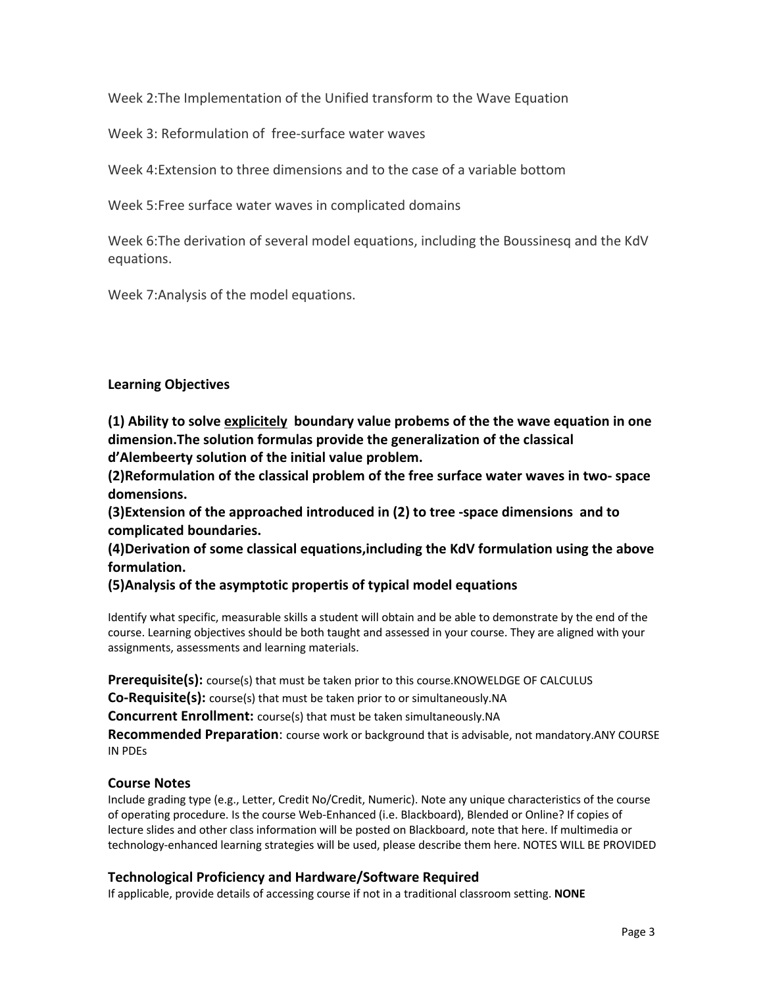Week 2:The Implementation of the Unified transform to the Wave Equation

Week 3: Reformulation of free-surface water waves

Week 4:Extension to three dimensions and to the case of a variable bottom

Week 5:Free surface water waves in complicated domains

Week 6:The derivation of several model equations, including the Boussinesq and the KdV equations.

Week 7:Analysis of the model equations.

# **Learning Objectives**

**(1) Ability to solve explicitely boundary value probems of the the wave equation in one dimension.The solution formulas provide the generalization of the classical d'Alembeerty solution of the initial value problem.**

**(2)Reformulation of the classical problem of the free surface water waves in two- space domensions.**

**(3)Extension of the approached introduced in (2) to tree -space dimensions and to complicated boundaries.**

**(4)Derivation of some classical equations,including the KdV formulation using the above formulation.**

# **(5)Analysis of the asymptotic propertis of typical model equations**

Identify what specific, measurable skills a student will obtain and be able to demonstrate by the end of the course. Learning objectives should be both taught and assessed in your course. They are aligned with your assignments, assessments and learning materials.

**Prerequisite(s):** course(s) that must be taken prior to this course.KNOWELDGE OF CALCULUS

**Co-Requisite(s):** course(s) that must be taken prior to or simultaneously.NA

**Concurrent Enrollment:** course(s) that must be taken simultaneously.NA

**Recommended Preparation**: course work or background that is advisable, not mandatory.ANY COURSE IN PDEs

# **Course Notes**

Include grading type (e.g., Letter, Credit No/Credit, Numeric). Note any unique characteristics of the course of operating procedure. Is the course Web-Enhanced (i.e. Blackboard), Blended or Online? If copies of lecture slides and other class information will be posted on Blackboard, note that here. If multimedia or technology-enhanced learning strategies will be used, please describe them here. NOTES WILL BE PROVIDED

# **Technological Proficiency and Hardware/Software Required**

If applicable, provide details of accessing course if not in a traditional classroom setting. **NONE**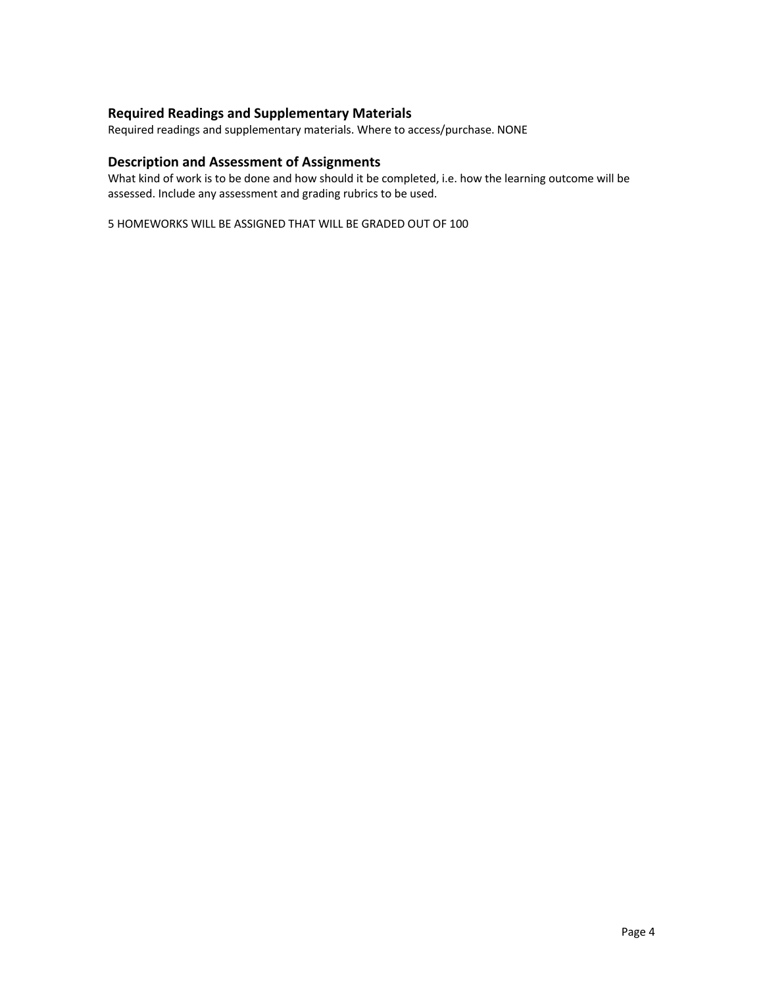# **Required Readings and Supplementary Materials**

Required readings and supplementary materials. Where to access/purchase. NONE

## **Description and Assessment of Assignments**

What kind of work is to be done and how should it be completed, i.e. how the learning outcome will be assessed. Include any assessment and grading rubrics to be used.

5 HOMEWORKS WILL BE ASSIGNED THAT WILL BE GRADED OUT OF 100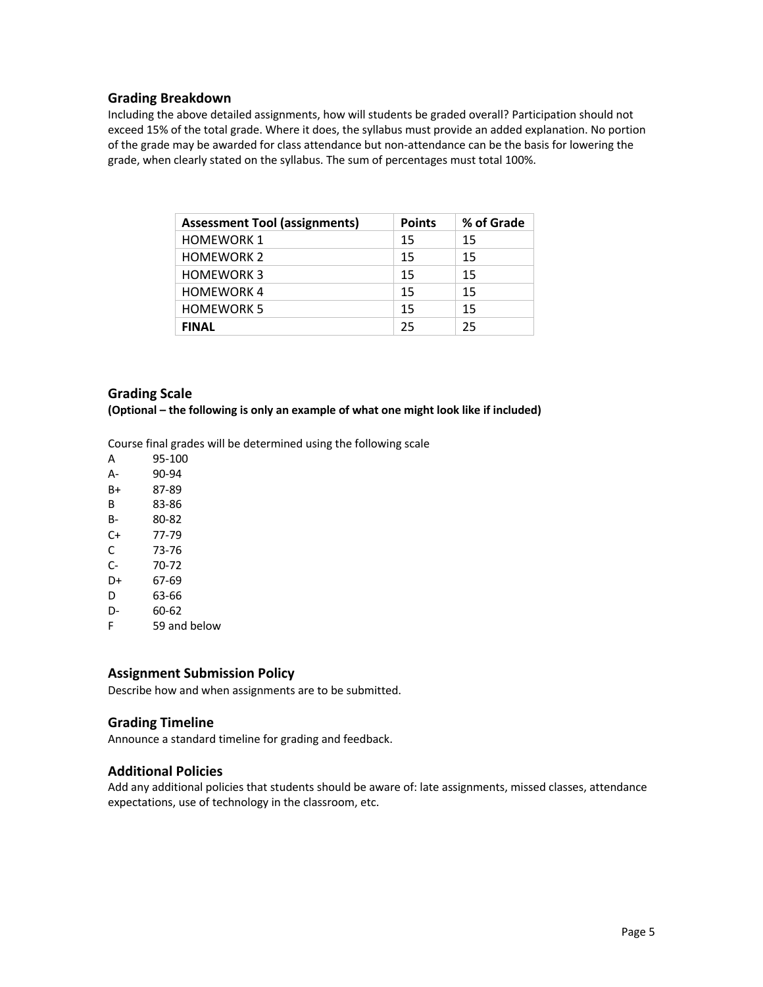### **Grading Breakdown**

Including the above detailed assignments, how will students be graded overall? Participation should not exceed 15% of the total grade. Where it does, the syllabus must provide an added explanation. No portion of the grade may be awarded for class attendance but non-attendance can be the basis for lowering the grade, when clearly stated on the syllabus. The sum of percentages must total 100%.

| <b>Assessment Tool (assignments)</b> | <b>Points</b> | % of Grade |
|--------------------------------------|---------------|------------|
| <b>HOMEWORK 1</b>                    | 15            | 15         |
| <b>HOMEWORK 2</b>                    | 15            | 15         |
| <b>HOMEWORK 3</b>                    | 15            | 15         |
| <b>HOMEWORK4</b>                     | 15            | 15         |
| <b>HOMEWORK 5</b>                    | 15            | 15         |
| <b>FINAL</b>                         | 25            | 25         |

## **Grading Scale**

**(Optional – the following is only an example of what one might look like if included)**

Course final grades will be determined using the following scale

| А  | 95-100 |
|----|--------|
| А- | 90-94  |
| B+ | 87-89  |
| в  | 83-86  |
| B- | 80-82  |
| C+ | 77-79  |
|    |        |

- C 73-76
- C- 70-72
- D+ 67-69
- D 63-66
- D- 60-62
- F 59 and below

## **Assignment Submission Policy**

Describe how and when assignments are to be submitted.

## **Grading Timeline**

Announce a standard timeline for grading and feedback.

## **Additional Policies**

Add any additional policies that students should be aware of: late assignments, missed classes, attendance expectations, use of technology in the classroom, etc.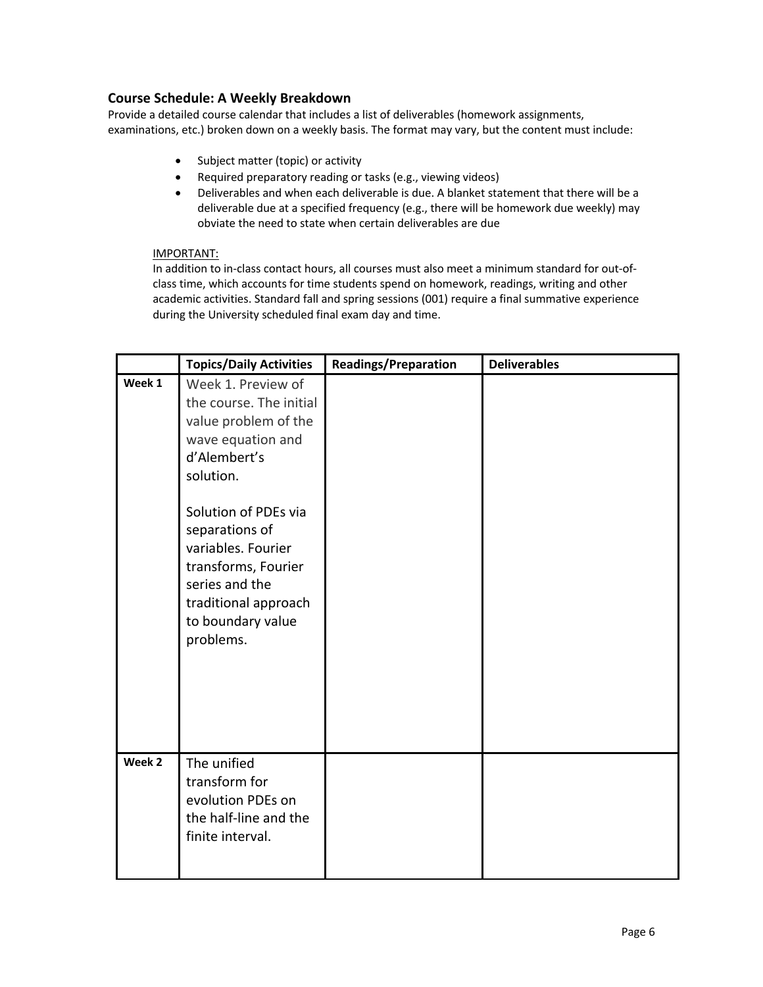## **Course Schedule: A Weekly Breakdown**

Provide a detailed course calendar that includes a list of deliverables (homework assignments, examinations, etc.) broken down on a weekly basis. The format may vary, but the content must include:

- Subject matter (topic) or activity
- Required preparatory reading or tasks (e.g., viewing videos)
- Deliverables and when each deliverable is due. A blanket statement that there will be a deliverable due at a specified frequency (e.g., there will be homework due weekly) may obviate the need to state when certain deliverables are due

### IMPORTANT:

In addition to in-class contact hours, all courses must also meet a minimum standard for out-ofclass time, which accounts for time students spend on homework, readings, writing and other academic activities. Standard fall and spring sessions (001) require a final summative experience during the University scheduled final exam day and time.

|        | <b>Topics/Daily Activities</b>                                                                                                                                                                                                                                                             | <b>Readings/Preparation</b> | <b>Deliverables</b> |
|--------|--------------------------------------------------------------------------------------------------------------------------------------------------------------------------------------------------------------------------------------------------------------------------------------------|-----------------------------|---------------------|
| Week 1 | Week 1. Preview of<br>the course. The initial<br>value problem of the<br>wave equation and<br>d'Alembert's<br>solution.<br>Solution of PDEs via<br>separations of<br>variables. Fourier<br>transforms, Fourier<br>series and the<br>traditional approach<br>to boundary value<br>problems. |                             |                     |
| Week 2 | The unified<br>transform for<br>evolution PDEs on<br>the half-line and the<br>finite interval.                                                                                                                                                                                             |                             |                     |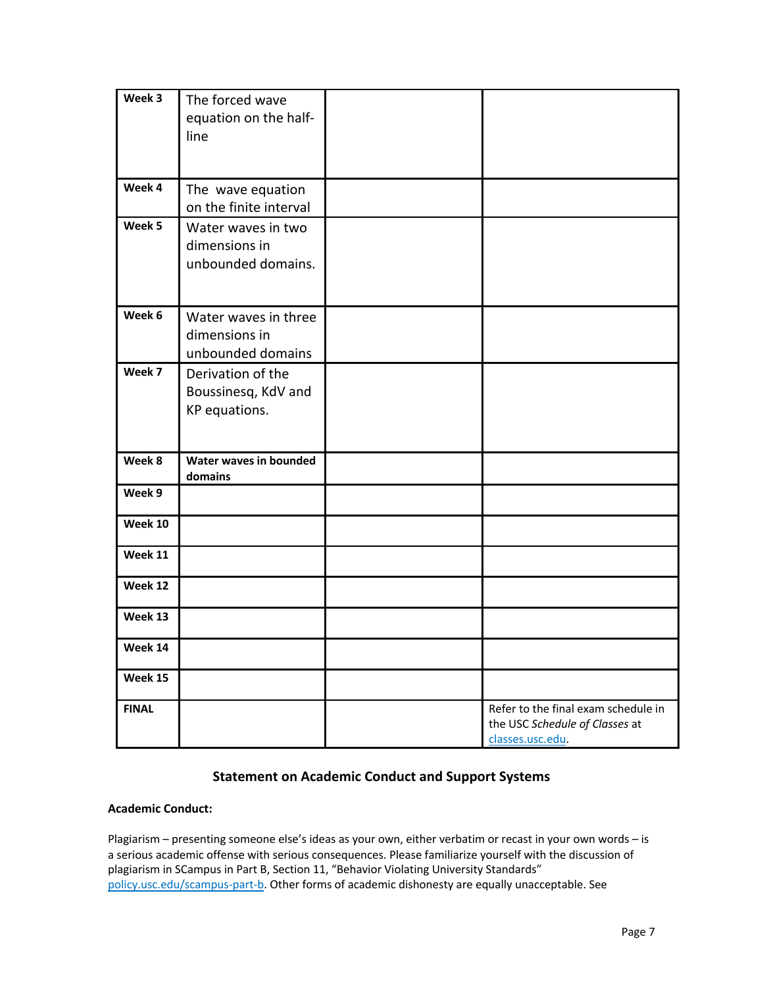| Week 3       | The forced wave<br>equation on the half-<br>line           |                                                                                           |
|--------------|------------------------------------------------------------|-------------------------------------------------------------------------------------------|
|              |                                                            |                                                                                           |
| Week 4       | The wave equation<br>on the finite interval                |                                                                                           |
| Week 5       | Water waves in two<br>dimensions in<br>unbounded domains.  |                                                                                           |
| Week 6       | Water waves in three<br>dimensions in<br>unbounded domains |                                                                                           |
| Week 7       | Derivation of the<br>Boussinesq, KdV and<br>KP equations.  |                                                                                           |
| Week 8       | Water waves in bounded<br>domains                          |                                                                                           |
| Week 9       |                                                            |                                                                                           |
| Week 10      |                                                            |                                                                                           |
| Week 11      |                                                            |                                                                                           |
| Week 12      |                                                            |                                                                                           |
| Week 13      |                                                            |                                                                                           |
| Week 14      |                                                            |                                                                                           |
| Week 15      |                                                            |                                                                                           |
| <b>FINAL</b> |                                                            | Refer to the final exam schedule in<br>the USC Schedule of Classes at<br>classes.usc.edu. |

# **Statement on Academic Conduct and Support Systems**

## **Academic Conduct:**

Plagiarism – presenting someone else's ideas as your own, either verbatim or recast in your own words – is a serious academic offense with serious consequences. Please familiarize yourself with the discussion of plagiarism in SCampus in Part B, Section 11, "Behavior Violating University Standards" policy.usc.edu/scampus-part-b. Other forms of academic dishonesty are equally unacceptable. See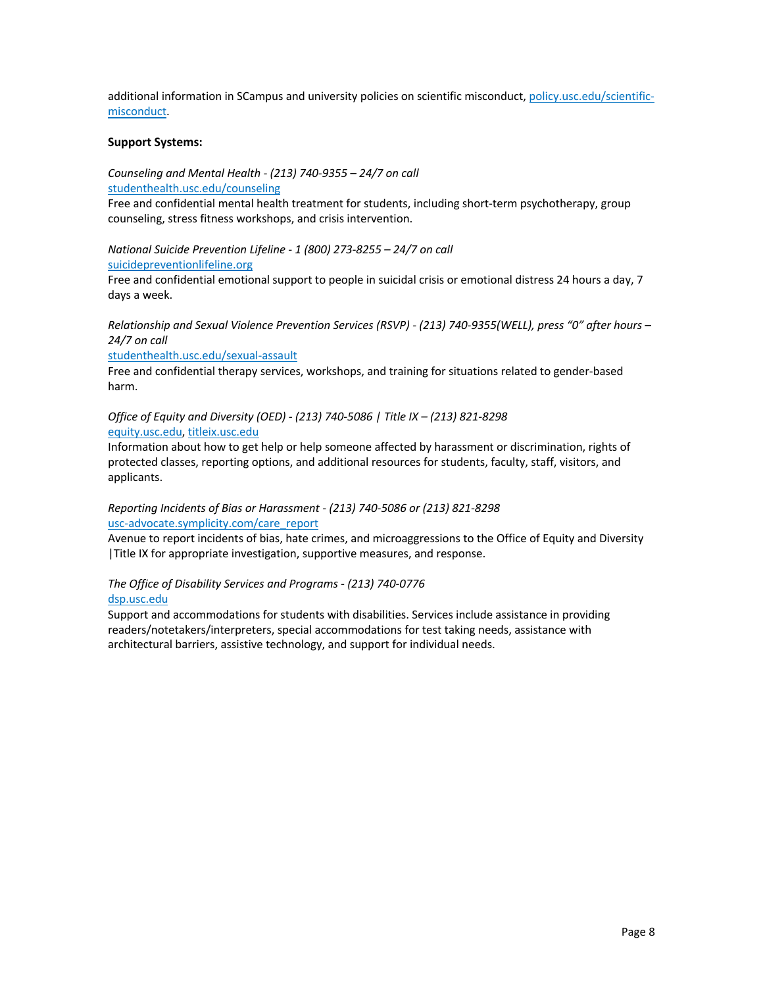additional information in SCampus and university policies on scientific misconduct, policy.usc.edu/scientificmisconduct.

### **Support Systems:**

*Counseling and Mental Health - (213) 740-9355 – 24/7 on call* studenthealth.usc.edu/counseling

Free and confidential mental health treatment for students, including short-term psychotherapy, group counseling, stress fitness workshops, and crisis intervention.

*National Suicide Prevention Lifeline - 1 (800) 273-8255 – 24/7 on call* suicidepreventionlifeline.org

Free and confidential emotional support to people in suicidal crisis or emotional distress 24 hours a day, 7 days a week.

*Relationship and Sexual Violence Prevention Services (RSVP) - (213) 740-9355(WELL), press "0" after hours – 24/7 on call*

#### studenthealth.usc.edu/sexual-assault

Free and confidential therapy services, workshops, and training for situations related to gender-based harm.

*Office of Equity and Diversity (OED) - (213) 740-5086 | Title IX – (213) 821-8298* equity.usc.edu, titleix.usc.edu

Information about how to get help or help someone affected by harassment or discrimination, rights of protected classes, reporting options, and additional resources for students, faculty, staff, visitors, and applicants.

### *Reporting Incidents of Bias or Harassment - (213) 740-5086 or (213) 821-8298* usc-advocate.symplicity.com/care\_report

Avenue to report incidents of bias, hate crimes, and microaggressions to the Office of Equity and Diversity |Title IX for appropriate investigation, supportive measures, and response.

### *The Office of Disability Services and Programs - (213) 740-0776* dsp.usc.edu

Support and accommodations for students with disabilities. Services include assistance in providing readers/notetakers/interpreters, special accommodations for test taking needs, assistance with architectural barriers, assistive technology, and support for individual needs.